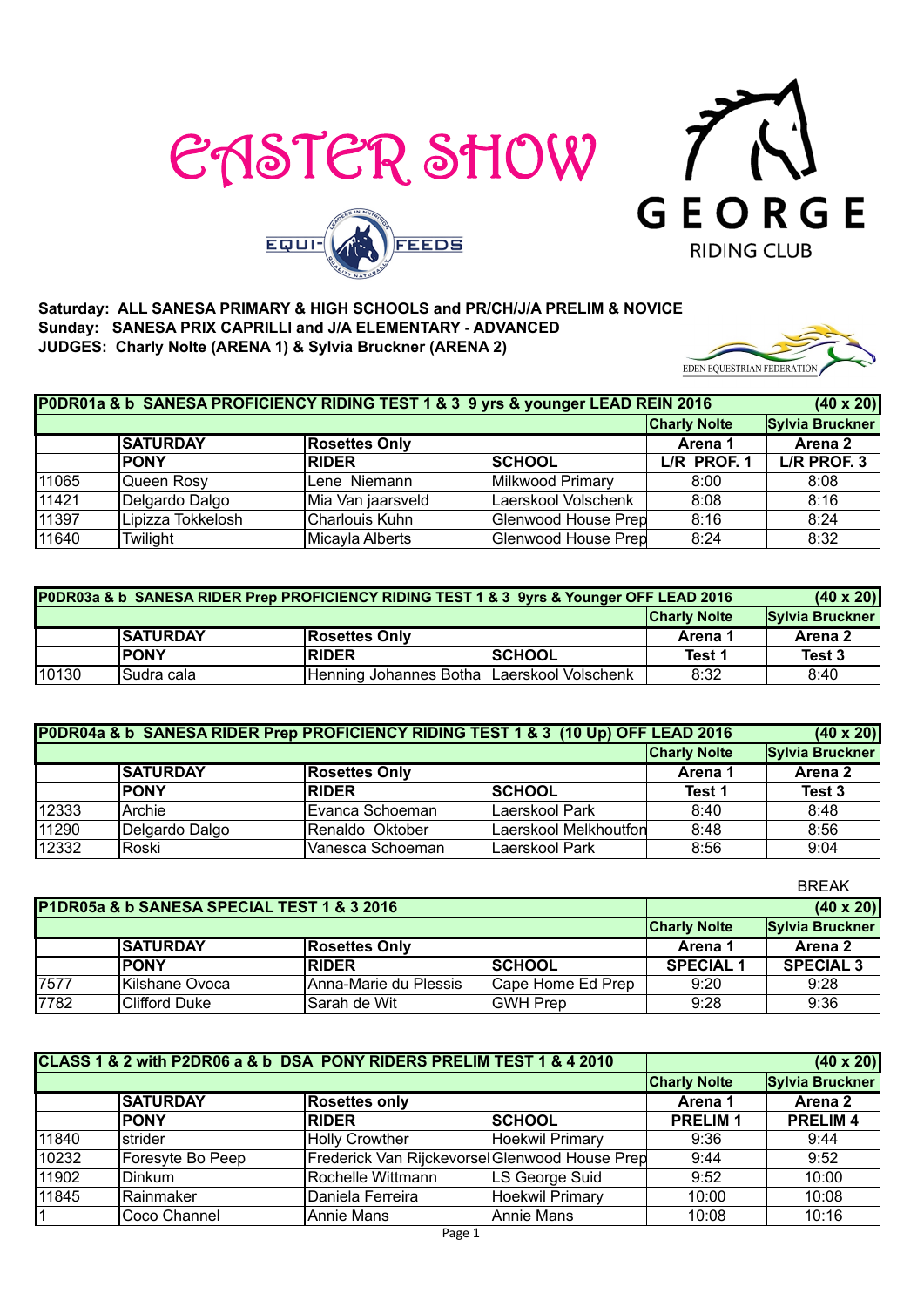





#### **Saturday: ALL SANESA PRIMARY & HIGH SCHOOLS and PR/CH/J/A PRELIM & NOVICE Sunday: SANESA PRIX CAPRILLI and J/A ELEMENTARY - ADVANCED JUDGES: Charly Nolte (ARENA 1) & Sylvia Bruckner (ARENA 2)**

| EDEN EQUESTRIAN FEDERATION |  |
|----------------------------|--|

| P0DR01a & b SANESA PROFICIENCY RIDING TEST 1 & 3 9 yrs & younger LEAD REIN 2016<br>$(40 \times 20)$ |                   |                      |                            |                     |                        |  |
|-----------------------------------------------------------------------------------------------------|-------------------|----------------------|----------------------------|---------------------|------------------------|--|
|                                                                                                     |                   |                      |                            | <b>Charly Nolte</b> | <b>Sylvia Bruckner</b> |  |
|                                                                                                     | <b>SATURDAY</b>   | <b>Rosettes Only</b> |                            | Arena 1             | Arena 2                |  |
|                                                                                                     | <b>PONY</b>       | <b>RIDER</b>         | <b>SCHOOL</b>              | L/R PROF. 1         | L/R PROF. 3            |  |
| 11065                                                                                               | Queen Rosy        | Lene Niemann         | Milkwood Primary           | 8:00                | 8:08                   |  |
| 11421                                                                                               | Delgardo Dalgo    | Mia Van jaarsveld    | Laerskool Volschenk        | 8:08                | 8:16                   |  |
| 11397                                                                                               | Lipizza Tokkelosh | Charlouis Kuhn       | Glenwood House Prep        | 8:16                | 8:24                   |  |
| 11640                                                                                               | Twilight          | Micayla Alberts      | <b>Glenwood House Prep</b> | 8:24                | 8:32                   |  |

|       | P0DR03a & b SANESA RIDER Prep PROFICIENCY RIDING TEST 1 & 3 9yrs & Younger OFF LEAD 2016 |                                            |               |                     |                 |  |
|-------|------------------------------------------------------------------------------------------|--------------------------------------------|---------------|---------------------|-----------------|--|
|       |                                                                                          |                                            |               | <b>Charly Nolte</b> | Sylvia Bruckner |  |
|       | <b>SATURDAY</b>                                                                          | <b>Rosettes Only</b>                       |               | Arena 1             | Arena 2         |  |
|       | <b>PONY</b>                                                                              | <b>RIDER</b>                               | <b>SCHOOL</b> | Test 1              | Test 3          |  |
| 10130 | ISudra cala                                                                              | Henning Johannes Botha Laerskool Volschenk |               | 8:32                | 8:40            |  |

|       | P0DR04a & b SANESA RIDER Prep PROFICIENCY RIDING TEST 1 & 3 (10 Up) OFF LEAD 2016 | $(40 \times 20)$     |                       |                     |                        |
|-------|-----------------------------------------------------------------------------------|----------------------|-----------------------|---------------------|------------------------|
|       |                                                                                   |                      |                       | <b>Charly Nolte</b> | <b>Sylvia Bruckner</b> |
|       | <b>SATURDAY</b>                                                                   | <b>Rosettes Only</b> |                       | Arena 1             | Arena 2                |
|       | <b>PONY</b>                                                                       | <b>RIDER</b>         | <b>ISCHOOL</b>        | Test 1              | Test 3                 |
| 12333 | Archie                                                                            | Evanca Schoeman      | Laerskool Park        | 8:40                | 8:48                   |
| 11290 | Delgardo Dalgo                                                                    | Renaldo Oktober      | Laerskool Melkhoutfon | 8:48                | 8:56                   |
| 12332 | Roski                                                                             | Vanesca Schoeman     | Laerskool Park        | 8:56                | 9:04                   |

|                                            |                       |                        |                     |                  | <b>BREAK</b>     |
|--------------------------------------------|-----------------------|------------------------|---------------------|------------------|------------------|
| P1DR05a & b SANESA SPECIAL TEST 1 & 3 2016 |                       |                        |                     |                  | $(40 \times 20)$ |
|                                            |                       |                        | <b>Charly Nolte</b> | Sylvia Bruckner  |                  |
|                                            | <b>SATURDAY</b>       | <b>Rosettes Only</b>   |                     | Arena 1          | Arena 2          |
|                                            | <b>PONY</b>           | <b>RIDER</b>           | <b>ISCHOOL</b>      | <b>SPECIAL 1</b> | <b>SPECIAL 3</b> |
| 7577                                       | <b>Kilshane Ovoca</b> | lAnna-Marie du Plessis | Cape Home Ed Prep   | 9:20             | 9:28             |
| 7782                                       | Clifford Duke         | lSarah de Wit          | <b>GWH Prep</b>     | 9:28             | 9:36             |

|       | CLASS 1 & 2 with P2DR06 a & b DSA PONY RIDERS PRELIM TEST 1 & 4 2010 |                                               | $(40 \times 20)$ |                |                |
|-------|----------------------------------------------------------------------|-----------------------------------------------|------------------|----------------|----------------|
|       |                                                                      | <b>Charly Nolte</b>                           | Sylvia Bruckner  |                |                |
|       | <b>SATURDAY</b><br><b>Rosettes only</b>                              |                                               |                  |                | Arena 2        |
|       | <b>PONY</b>                                                          | <b>RIDER</b>                                  | <b>SCHOOL</b>    | <b>PRELIM1</b> | <b>PRELIM4</b> |
| 11840 | strider                                                              | <b>Holly Crowther</b>                         | Hoekwil Primary  | 9:36           | 9:44           |
| 10232 | Foresyte Bo Peep                                                     | Frederick Van Rijckevorse Glenwood House Prep |                  | 9:44           | 9:52           |
| 11902 | <b>Dinkum</b>                                                        | Rochelle Wittmann                             | LS George Suid   | 9:52           | 10:00          |
| 11845 | Rainmaker                                                            | Daniela Ferreira                              | Hoekwil Primary  | 10:00          | 10:08          |
|       | Coco Channel                                                         | Annie Mans                                    | Annie Mans       | 10:08          | 10:16          |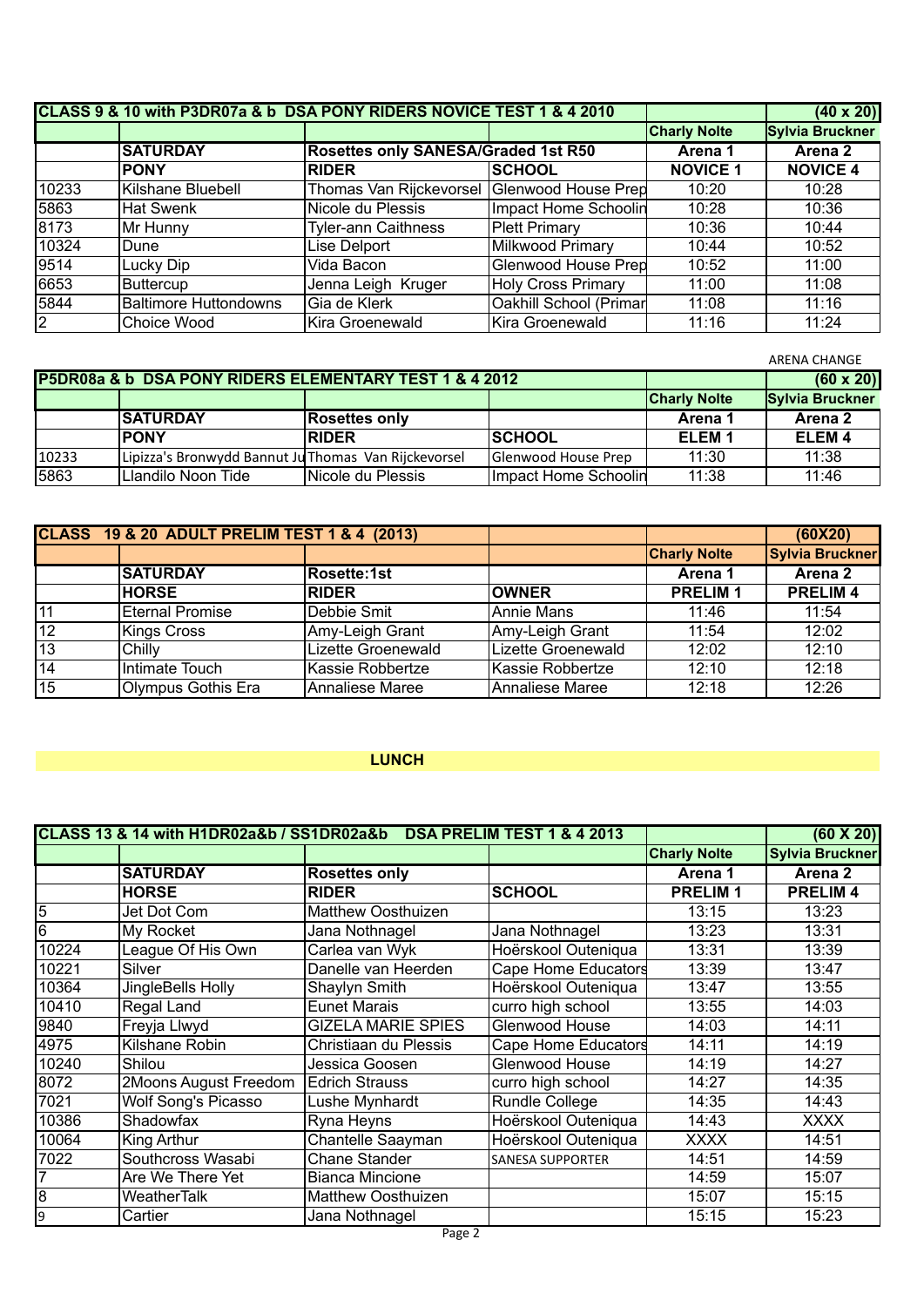|                | CLASS 9 & 10 with P3DR07a & b DSA PONY RIDERS NOVICE TEST 1 & 4 2010 |                                             | $(40 \times 20)$           |                     |                 |
|----------------|----------------------------------------------------------------------|---------------------------------------------|----------------------------|---------------------|-----------------|
|                |                                                                      |                                             |                            | <b>Charly Nolte</b> | Sylvia Bruckner |
|                | <b>SATURDAY</b>                                                      | Rosettes only SANESA/Graded 1st R50         |                            | Arena 1             | Arena 2         |
|                | <b>PONY</b>                                                          | <b>RIDER</b>                                | <b>SCHOOL</b>              | <b>NOVICE 1</b>     | <b>NOVICE 4</b> |
| 10233          | Kilshane Bluebell                                                    | Thomas Van Rijckevorsel Glenwood House Prep |                            | 10:20               | 10:28           |
| 5863           | <b>Hat Swenk</b>                                                     | Nicole du Plessis                           | Impact Home Schoolin       | 10:28               | 10:36           |
| 8173           | Mr Hunny                                                             | <b>Tyler-ann Caithness</b>                  | <b>Plett Primary</b>       | 10:36               | 10:44           |
| 10324          | Dune                                                                 | Lise Delport                                | Milkwood Primary           | 10:44               | 10:52           |
| 9514           | Lucky Dip                                                            | Vida Bacon                                  | <b>Glenwood House Prep</b> | 10:52               | 11:00           |
| 6653           | <b>Buttercup</b>                                                     | Jenna Leigh Kruger                          | <b>Holy Cross Primary</b>  | 11:00               | 11:08           |
| 5844           | <b>Baltimore Huttondowns</b>                                         | Gia de Klerk                                | Oakhill School (Primar     | 11:08               | 11:16           |
| $\overline{2}$ | Choice Wood                                                          | Kira Groenewald                             | Kira Groenewald            | 11:16               | 11:24           |

|       |                                                        |                      |                      |                     | <b>ARENA CHANGE</b>    |
|-------|--------------------------------------------------------|----------------------|----------------------|---------------------|------------------------|
|       | P5DR08a & b DSA PONY RIDERS ELEMENTARY TEST 1 & 4 2012 |                      | $(60 \times 20)$     |                     |                        |
|       |                                                        |                      |                      | <b>Charly Nolte</b> | <b>Sylvia Bruckner</b> |
|       | <b>SATURDAY</b>                                        | <b>Rosettes only</b> |                      | Arena 1             | Arena 2                |
|       | <b>PONY</b>                                            | <b>RIDER</b>         | <b>SCHOOL</b>        | ELEM <sub>1</sub>   | ELEM <sub>4</sub>      |
| 10233 | Lipizza's Bronwydd Bannut Ju Thomas Van Rijckevorsel   |                      | Glenwood House Prep  | 11:30               | 11:38                  |
| 5863  | Llandilo Noon Tide                                     | Nicole du Plessis    | Impact Home Schoolin | 11:38               | 11:46                  |

|    | <b>CLASS 19 &amp; 20 ADULT PRELIM TEST 1 &amp; 4 (2013)</b> |                    |                    |                     | (60X20)                |
|----|-------------------------------------------------------------|--------------------|--------------------|---------------------|------------------------|
|    |                                                             |                    |                    | <b>Charly Nolte</b> | <b>Sylvia Bruckner</b> |
|    | <b>SATURDAY</b>                                             | <b>Rosette:1st</b> |                    | Arena 1             | Arena 2                |
|    | <b>HORSE</b>                                                | <b>RIDER</b>       | <b>OWNER</b>       | <b>PRELIM1</b>      | <b>PRELIM4</b>         |
| 11 | <b>Eternal Promise</b>                                      | Debbie Smit        | Annie Mans         | 11:46               | 11:54                  |
| 12 | <b>Kings Cross</b>                                          | Amy-Leigh Grant    | Amy-Leigh Grant    | 11:54               | 12:02                  |
| 13 | Chilly                                                      | Lizette Groenewald | Lizette Groenewald | 12:02               | 12:10                  |
| 14 | Intimate Touch                                              | Kassie Robbertze   | Kassie Robbertze   | 12:10               | 12:18                  |
| 15 | Olympus Gothis Era                                          | Annaliese Maree    | Annaliese Maree    | 12:18               | 12:26                  |

# **LUNCH**

|                | CLASS 13 & 14 with H1DR02a&b / SS1DR02a&b |                           | $(60 \times 20)$        |                     |                        |
|----------------|-------------------------------------------|---------------------------|-------------------------|---------------------|------------------------|
|                |                                           |                           |                         | <b>Charly Nolte</b> | <b>Sylvia Bruckner</b> |
|                | <b>SATURDAY</b>                           | <b>Rosettes only</b>      |                         | Arena 1             | Arena <sub>2</sub>     |
|                | <b>HORSE</b>                              | <b>RIDER</b>              | <b>SCHOOL</b>           | <b>PRELIM1</b>      | <b>PRELIM4</b>         |
| $\overline{5}$ | Jet Dot Com                               | <b>Matthew Oosthuizen</b> |                         | 13:15               | 13:23                  |
| $6\phantom{a}$ | My Rocket                                 | Jana Nothnagel            | Jana Nothnagel          | 13:23               | 13:31                  |
| 10224          | League Of His Own                         | Carlea van Wyk            | Hoërskool Outeniqua     | 13:31               | 13:39                  |
| 10221          | Silver                                    | Danelle van Heerden       | Cape Home Educators     | 13:39               | 13:47                  |
| 10364          | JingleBells Holly                         | Shaylyn Smith             | Hoërskool Outeniqua     | 13:47               | 13:55                  |
| 10410          | Regal Land                                | <b>Eunet Marais</b>       | curro high school       | 13:55               | 14:03                  |
| 9840           | Freyja Llwyd                              | <b>GIZELA MARIE SPIES</b> | Glenwood House          | 14:03               | 14:11                  |
| 4975           | Kilshane Robin                            | Christiaan du Plessis     | Cape Home Educators     | 14:11               | 14:19                  |
| 10240          | Shilou                                    | Jessica Goosen            | Glenwood House          | 14:19               | 14:27                  |
| 8072           | 2Moons August Freedom                     | <b>Edrich Strauss</b>     | curro high school       | 14:27               | 14:35                  |
| 7021           | <b>Wolf Song's Picasso</b>                | Lushe Mynhardt            | <b>Rundle College</b>   | 14:35               | 14:43                  |
| 10386          | Shadowfax                                 | Ryna Heyns                | Hoërskool Outeniqua     | 14:43               | <b>XXXX</b>            |
| 10064          | King Arthur                               | Chantelle Saayman         | Hoërskool Outeniqua     | <b>XXXX</b>         | 14:51                  |
| 7022           | Southcross Wasabi                         | Chane Stander             | <b>SANESA SUPPORTER</b> | 14:51               | 14:59                  |
| 7              | Are We There Yet                          | <b>Bianca Mincione</b>    |                         | 14:59               | 15:07                  |
| $\overline{8}$ | <b>WeatherTalk</b>                        | <b>Matthew Oosthuizen</b> |                         | 15:07               | 15:15                  |
| $\overline{9}$ | Cartier                                   | Jana Nothnagel            |                         | 15:15               | 15:23                  |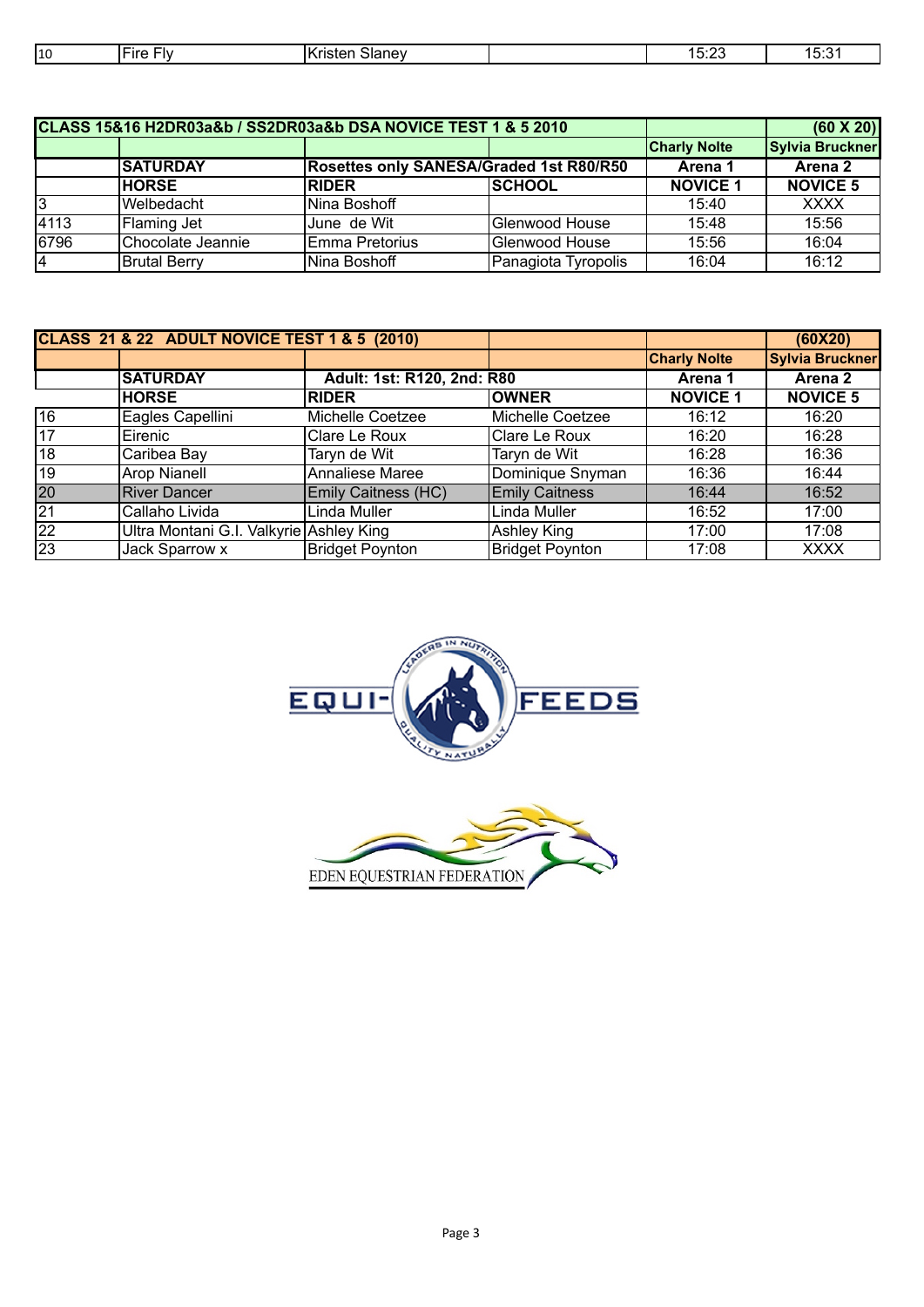| 110 | . .<br>$ -$<br>. . | מונ<br>- | $\sim$<br>. | <br>. |
|-----|--------------------|----------|-------------|-------|
|     |                    |          |             |       |

|                | CLASS 15&16 H2DR03a&b / SS2DR03a&b DSA NOVICE TEST 1 & 5 2010 |                | $(60 \times 20)$                        |                     |                        |
|----------------|---------------------------------------------------------------|----------------|-----------------------------------------|---------------------|------------------------|
|                |                                                               |                |                                         | <b>Charly Nolte</b> | <b>Sylvia Bruckner</b> |
|                | <b>SATURDAY</b>                                               |                | Rosettes only SANESA/Graded 1st R80/R50 |                     | Arena 2                |
|                | <b>HORSE</b>                                                  | <b>RIDER</b>   | <b>SCHOOL</b>                           | <b>NOVICE 1</b>     | <b>NOVICE 5</b>        |
| 3              | Welbedacht                                                    | Nina Boshoff   |                                         | 15:40               | <b>XXXX</b>            |
| 4113           | Flaming Jet                                                   | June de Wit    | Glenwood House                          | 15:48               | 15:56                  |
| 6796           | Chocolate Jeannie                                             | Emma Pretorius | Glenwood House                          | 15:56               | 16:04                  |
| $\overline{4}$ | <b>Brutal Berry</b>                                           | Nina Boshoff   | Panagiota Tyropolis                     | 16:04               | 16:12                  |

|                 | <b>CLASS 21 &amp; 22 ADULT NOVICE TEST 1 &amp; 5 (2010)</b> |                            |                        |                     | (60X20)                |
|-----------------|-------------------------------------------------------------|----------------------------|------------------------|---------------------|------------------------|
|                 |                                                             |                            |                        | <b>Charly Nolte</b> | <b>Sylvia Bruckner</b> |
|                 | <b>SATURDAY</b>                                             | Adult: 1st: R120, 2nd: R80 |                        | Arena 1             | Arena 2                |
|                 | <b>HORSE</b>                                                | <b>RIDER</b>               | <b>OWNER</b>           | <b>NOVICE 1</b>     | <b>NOVICE 5</b>        |
| 16              | Eagles Capellini                                            | Michelle Coetzee           | Michelle Coetzee       | 16:12               | 16:20                  |
| 17              | Eirenic                                                     | Clare Le Roux              | Clare Le Roux          | 16:20               | 16:28                  |
| 18              | Caribea Bay                                                 | Taryn de Wit               | Taryn de Wit           | 16:28               | 16:36                  |
| 19              | <b>Arop Nianell</b>                                         | <b>Annaliese Maree</b>     | Dominique Snyman       | 16:36               | 16:44                  |
| 20              | <b>River Dancer</b>                                         | Emily Caitness (HC)        | <b>Emily Caitness</b>  | 16:44               | 16:52                  |
| $\overline{21}$ | Callaho Livida                                              | Linda Muller               | Linda Muller           | 16:52               | 17:00                  |
| $\overline{22}$ | Ultra Montani G.I. Valkyrie Ashley King                     |                            | Ashley King            | 17:00               | 17:08                  |
| 23              | Jack Sparrow x                                              | <b>Bridget Poynton</b>     | <b>Bridget Poynton</b> | 17:08               | <b>XXXX</b>            |